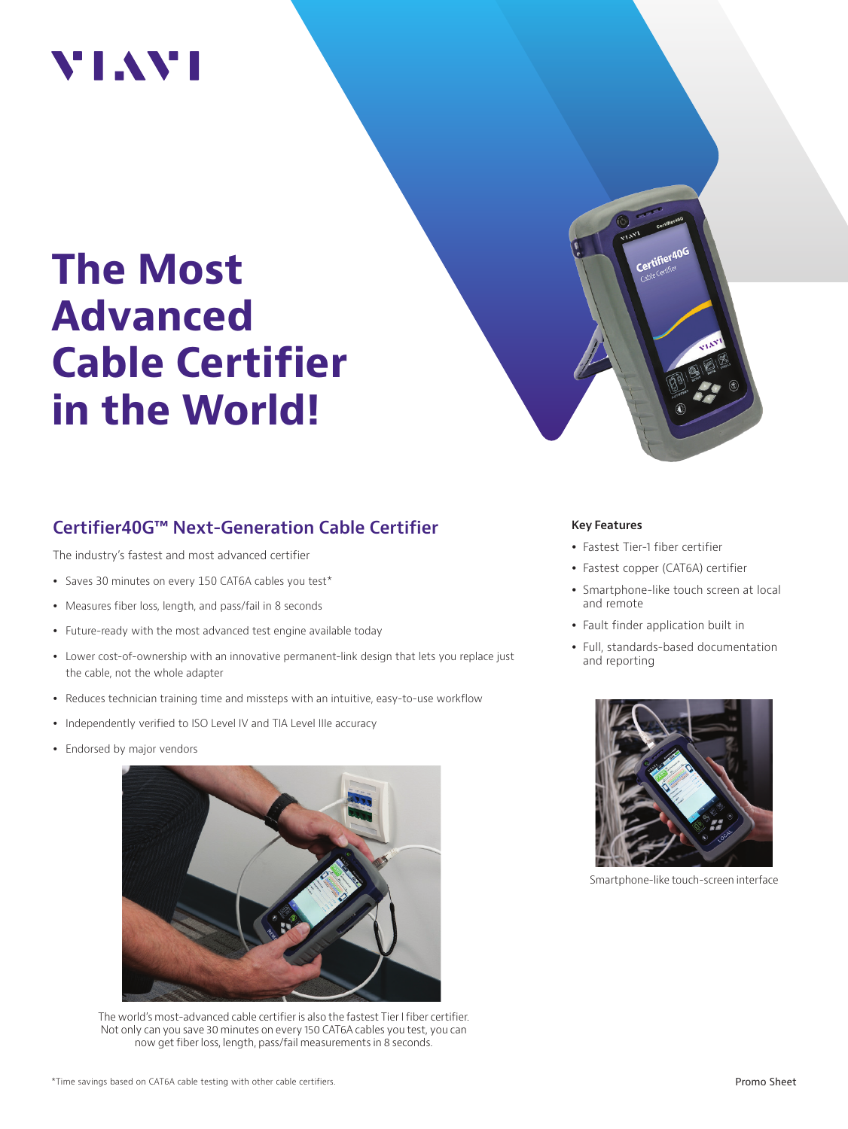## VI.WI

# **The Most Advanced Cable Certifier in the World!**

### **Certifier40G™ Next-Generation Cable Certifier**

The industry's fastest and most advanced certifier

- Saves 30 minutes on every 150 CAT6A cables you test\*
- Measures fiber loss, length, and pass/fail in 8 seconds
- Future-ready with the most advanced test engine available today
- Lower cost-of-ownership with an innovative permanent-link design that lets you replace just the cable, not the whole adapter
- Reduces technician training time and missteps with an intuitive, easy-to-use workflow
- Independently verified to ISO Level IV and TIA Level IIIe accuracy
- Endorsed by major vendors



The world's most-advanced cable certifier is also the fastest Tier I fiber certifier. Not only can you save 30 minutes on every 150 CAT6A cables you test, you can now get fiber loss, length, pass/fail measurements in 8 seconds.



#### **Key Features**

- Fastest Tier-1 fiber certifier
- Fastest copper (CAT6A) certifier
- Smartphone-like touch screen at local and remote
- Fault finder application built in
- Full, standards-based documentation and reporting



Smartphone-like touch-screen interface